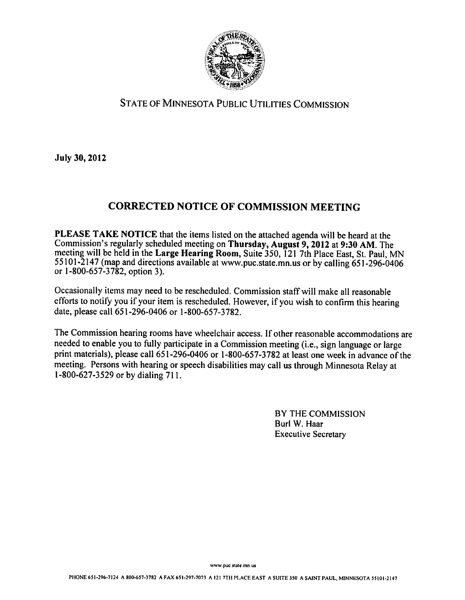

### State of Minnesota Public Utilities Commission

July 30,2012

# CORRECTED NOTICE OF COMMISSION MEETING

PLEASE TAKE NOTICE that the items listed on the attached agenda will be heard at the Commission's regularly scheduled meeting on Thursday, August 9,2012 at 9:30 AM. The meeting will be held in the Large Hearing Room, Suite 350, <sup>121</sup> 7th Place East, St. Paul, MN 55101-2147 (map and directions available at www.puc.state.mn.us or by calling 651-296-0406 or 1-800-657-3782, option 3).

Occasionally items may need to be rescheduled. Commission staff will make all reasonable efforts to notify you if your item is rescheduled. However, if you wish to confirm this hearing date, please call 651-296-0406 or 1-800-657-3782.

The Commission hearing rooms have wheelchair access. If other reasonable accommodations are needed to enable you to fully participate in a Commission meeting (i.e., sign language or large print materials), please call 651-296-0406 or 1-800-657-3782 at least one week in advance of the meeting. Persons with hearing or speech disabilities may call us through Minnesota Relay at -800-627-3529 or by dialing 711.

> BY THE COMMISSION Burl W. Haar Executive Secretary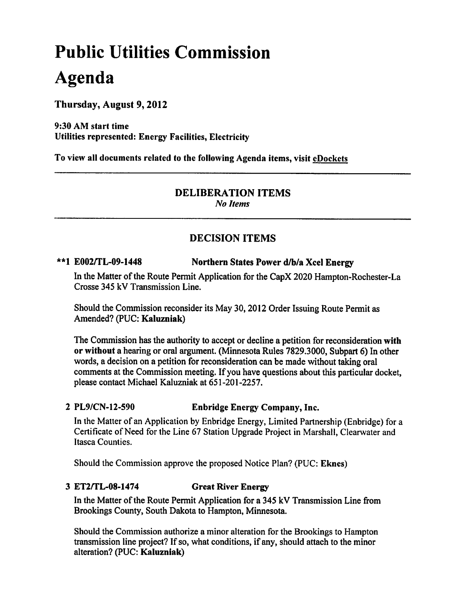# Public Utilities Commission Agenda

Thursday, August 9,2012

9:30 AM start time Utilities represented: Energy Facilities, Electricity

To view all documents related to the following Agenda items, visit eDockets

# DELIBERATION ITEMS

No Items

# DECISION ITEMS

#### \*\*1 E002/TL-09-1448 Northern States Power d/b/a Xcel Energy

In the Matter of the Route Permit Application for the CapX 2020 Hampton-Rochester-La Crosse 345 kV Transmission Line.

Should the Commission reconsider its May 30,2012 Order Issuing Route Permit as Amended? (PUC: Kaluzniak)

The Commission has the authority to accept or decline a petition for reconsideration with or without a hearing or oral argument. (Minnesota Rules 7829.3000, Subpart 6) In other words, a decision on a petition for reconsideration can be made without taking oral comments at the Commission meeting. If you have questions about this particular docket, please contact Michael Kaluzniak at 651-201-2257.

#### PL9/CN-12-590 Enbridge Energy Company, Inc.

In the Matter of an Application by Enbridge Energy, Limited Partnership (Enbridge) for Certificate of Need for the Line 67 Station Upgrade Project in Marshall, Clearwater and Itasca Counties.

Should the Commission approve the proposed Notice Plan? (PUC: Eknes)

#### ET2/TL-08-1474 Great River Energy

In the Matter of the Route Permit Application for 345 kV Transmission Line from Brookings County, South Dakota to Hampton, Minnesota.

Should the Commission authorize a minor alteration for the Brookings to Hampton transmission line project? If so, what conditions, if any, should attach to the minor alteration? (PUC: Kaluzniak)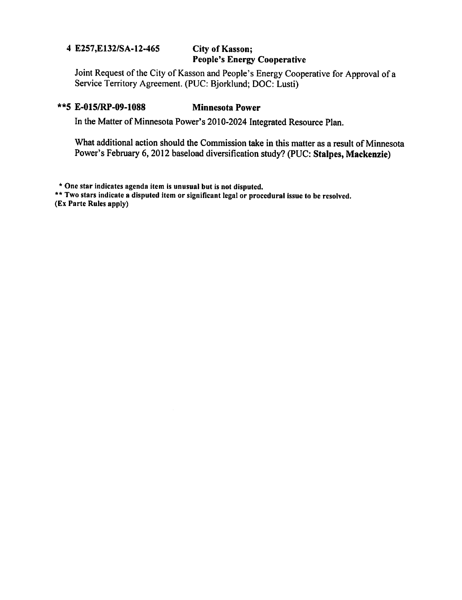#### E257,E132/SA-12-465 City of Kasson;

# People's Energy Cooperative

Joint Request of the City of Kasson and People's Energy Cooperative for Approval of Service Territory Agreement. (PUC: Bjorklund; DOC: Lusti)

#### \*\*5 E-015/RP-09-1088 Minnesota Power

In the Matter of Minnesota Power's 2010-2024 Integrated Resource Plan.

What additional action should the Commission take in this matter as a result of Minnesota Power's February 6,2012 baseload diversification study? (PUC: Stalpes, Mackenzie)

One star indicates agenda item is unusual but is not disputed.

\*\* Two stars indicate a disputed item or significant legal or procedural issue to be resolved.

(Ex Parte Rules apply)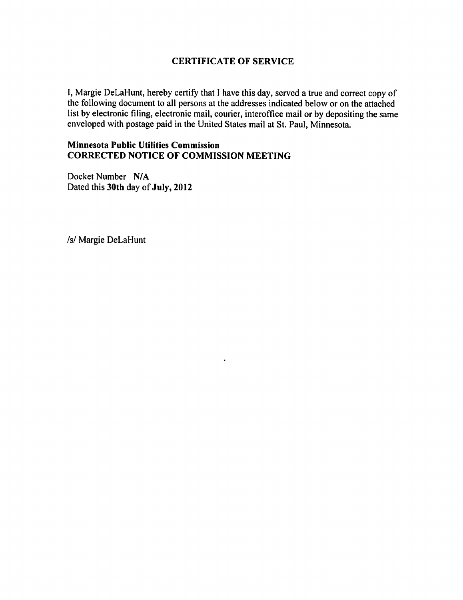#### CERTIFICATE OF SERVICE

I, Margie DeLaHunt, hereby certify that I have this day, served a true and correct copy of the following document to all persons at the addresses indicated below or on the attached list by electronic filing, electronic mail, courier, interoffice mail or by depositing the same enveloped with postage paid in the United States mail at St. Paul, Minnesota.

 $\bullet$ 

#### Minnesota Public Utilities Commission CORRECTED NOTICE OF COMMISSION MEETING

Docket Number N/A Dated this 30th day of July, 2012

/s/ Margie DeLaHunt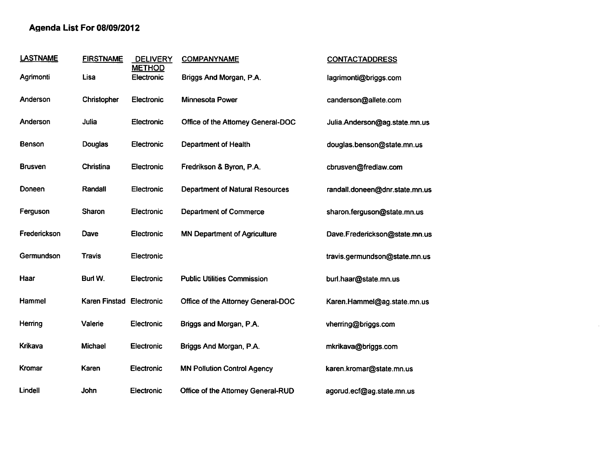#### Agenda List For 08/09/2012

| <b>LASTNAME</b> | <b>FIRSTNAME</b> | <b>DELIVERY</b><br><b>METHOD</b> | <b>COMPANYNAME</b>                     | <b>CONTACTADDRESS</b>          |
|-----------------|------------------|----------------------------------|----------------------------------------|--------------------------------|
| Agrimonti       | Lisa             | Electronic                       | Briggs And Morgan, P.A.                | lagrimonti@briggs.com          |
| Anderson        | Christopher      | Electronic                       | Minnesota Power                        | canderson@allete.com           |
| Anderson        | Julia            | Electronic                       | Office of the Attorney General-DOC     | Julia.Anderson@ag.state.mn.us  |
| <b>Benson</b>   | Douglas          | Electronic                       | <b>Department of Health</b>            | douglas.benson@state.mn.us     |
| <b>Brusven</b>  | Christina        | Electronic                       | Fredrikson & Byron, P.A.               | cbrusven@fredlaw.com           |
| Doneen          | Randall          | Electronic                       | <b>Department of Natural Resources</b> | randall.doneen@dnr.state.mn.us |
| Ferguson        | Sharon           | Electronic                       | <b>Department of Commerce</b>          | sharon.ferguson@state.mn.us    |
| Frederickson    | Dave             | Electronic                       | <b>MN Department of Agriculture</b>    | Dave.Frederickson@state.mn.us  |
| Germundson      | Travis           | Electronic                       |                                        | travis.germundson@state.mn.us  |
| Haar            | Burl W.          | Electronic                       | <b>Public Utilities Commission</b>     | burl.haar@state.mn.us          |
| Hammel          | Karen Finstad    | <b>Electronic</b>                | Office of the Attorney General-DOC     | Karen.Hammel@ag.state.mn.us    |
| Herring         | Valerie          | Electronic                       | Briggs and Morgan, P.A.                | vherring@briggs.com            |
| Krikava         | Michael          | Electronic                       | Briggs And Morgan, P.A.                | mkrikava@briggs.com            |
| Kromar          | Karen            | <b>Electronic</b>                | <b>MN Pollution Control Agency</b>     | karen.kromar@state.mn.us       |
| Lindell         | John             | Electronic                       | Office of the Attorney General-RUD     | agorud.ecf@ag.state.mn.us      |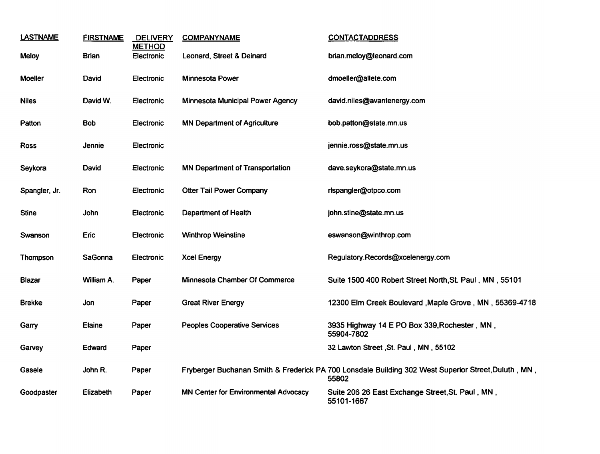| <b>LASTNAME</b> | <b>FIRSTNAME</b> | <b>DELIVERY</b><br><b>METHOD</b> | <b>COMPANYNAME</b>                          | <b>CONTACTADDRESS</b>                                                                                        |
|-----------------|------------------|----------------------------------|---------------------------------------------|--------------------------------------------------------------------------------------------------------------|
| <b>Meloy</b>    | <b>Brian</b>     | Electronic                       | Leonard, Street & Deinard                   | brian.meloy@leonard.com                                                                                      |
| <b>Moeller</b>  | David            | Electronic                       | Minnesota Power                             | dmoeller@allete.com                                                                                          |
| <b>Niles</b>    | David W.         | Electronic                       | Minnesota Municipal Power Agency            | david.niles@avantenergy.com                                                                                  |
| Patton          | <b>Bob</b>       | Electronic                       | <b>MN Department of Agriculture</b>         | bob.patton@state.mn.us                                                                                       |
| <b>Ross</b>     | Jennie           | Electronic                       |                                             | jennie.ross@state.mn.us                                                                                      |
| Seykora         | David            | Electronic                       | <b>MN Department of Transportation</b>      | dave.seykora@state.mn.us                                                                                     |
| Spangler, Jr.   | Ron              | Electronic                       | <b>Otter Tail Power Company</b>             | rlspangler@otpco.com                                                                                         |
| <b>Stine</b>    | John             | Electronic                       | <b>Department of Health</b>                 | john.stine@state.mn.us                                                                                       |
| Swanson         | Eric             | Electronic                       | <b>Winthrop Weinstine</b>                   | eswanson@winthrop.com                                                                                        |
| Thompson        | SaGonna          | Electronic                       | <b>Xcel Energy</b>                          | Regulatory.Records@xcelenergy.com                                                                            |
| Blazar          | William A.       | Paper                            | Minnesota Chamber Of Commerce               | Suite 1500 400 Robert Street North, St. Paul, MN, 55101                                                      |
| <b>Brekke</b>   | Jon              | Paper                            | <b>Great River Energy</b>                   | 12300 Elm Creek Boulevard , Maple Grove, MN, 55369-4718                                                      |
| Garry           | Elaine           | Paper                            | <b>Peoples Cooperative Services</b>         | 3935 Highway 14 E PO Box 339, Rochester, MN,<br>55904-7802                                                   |
| Garvey          | Edward           | Paper                            |                                             | 32 Lawton Street, St. Paul, MN, 55102                                                                        |
| Gasele          | John R.          | Paper                            |                                             | Fryberger Buchanan Smith & Frederick PA 700 Lonsdale Building 302 West Superior Street, Duluth, MN,<br>55802 |
| Goodpaster      | Elizabeth        | Paper                            | <b>MN Center for Environmental Advocacy</b> | Suite 206 26 East Exchange Street, St. Paul, MN,<br>55101-1667                                               |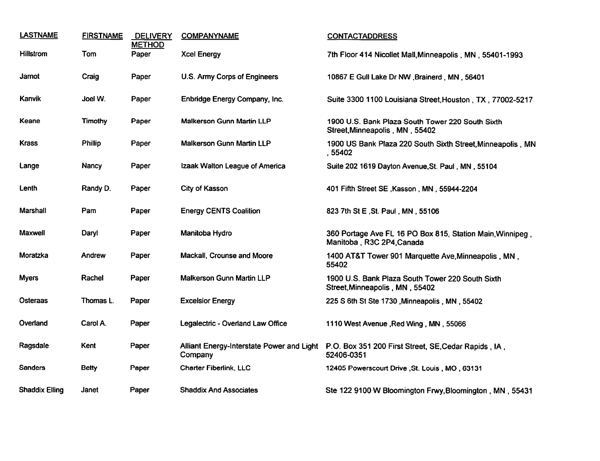| <b>LASTNAME</b>       | <b>FIRSTNAME</b> | <b>DELIVERY</b><br><b>METHOD</b> | <b>COMPANYNAME</b>                                   | <b>CONTACTADDRESS</b>                                                                  |
|-----------------------|------------------|----------------------------------|------------------------------------------------------|----------------------------------------------------------------------------------------|
| <b>Hillstrom</b>      | Tom              | Paper                            | <b>Xcel Energy</b>                                   | 7th Floor 414 Nicollet Mall, Minneapolis, MN, 55401-1993                               |
| Jamot                 | Craig            | Paper                            | U.S. Army Corps of Engineers                         | 10867 E Gull Lake Dr NW , Brainerd, MN, 56401                                          |
| Kanvik                | Joel W.          | Paper                            | Enbridge Energy Company, Inc.                        | Suite 3300 1100 Louisiana Street, Houston, TX, 77002-5217                              |
| Keane                 | Timothy          | Paper                            | Malkerson Gunn Martin LLP                            | 1900 U.S. Bank Plaza South Tower 220 South Sixth<br>Street, Minneapolis, MN, 55402     |
| Krass                 | Phillip          | Paper                            | Malkerson Gunn Martin LLP                            | 1900 US Bank Plaza 220 South Sixth Street, Minneapolis, MN<br>, 55402                  |
| Lange                 | Nancy            | Paper                            | Izaak Walton League of America                       | Suite 202 1619 Dayton Avenue, St. Paul, MN, 55104                                      |
| Lenth                 | Randy D.         | Paper                            | City of Kasson                                       | 401 Fifth Street SE, Kasson, MN, 55944-2204                                            |
| Marshall              | Pam              | Paper                            | <b>Energy CENTS Coalition</b>                        | 823 7th St E, St. Paul, MN, 55106                                                      |
| Maxwell               | Daryl            | Paper                            | Manitoba Hydro                                       | 360 Portage Ave FL 16 PO Box 815, Station Main, Winnipeg,<br>Manitoba, R3C 2P4, Canada |
| Moratzka              | Andrew           | Paper                            | Mackall, Crounse and Moore                           | 1400 AT&T Tower 901 Marquette Ave, Minneapolis, MN,<br>55402                           |
| <b>Myers</b>          | Rachel           | Paper                            | <b>Malkerson Gunn Martin LLP</b>                     | 1900 U.S. Bank Plaza South Tower 220 South Sixth<br>Street, Minneapolis, MN, 55402     |
| Osteraas              | Thomas L.        | Paper                            | <b>Excelsior Energy</b>                              | 225 S 6th St Ste 1730, Minneapolis, MN, 55402                                          |
| Overland              | Carol A.         | Paper                            | Legalectric - Overland Law Office                    | 1110 West Avenue , Red Wing, MN, 55066                                                 |
| Ragsdale              | Kent             | Paper                            | Alliant Energy-Interstate Power and Light<br>Company | P.O. Box 351 200 First Street, SE, Cedar Rapids, IA,<br>52406-0351                     |
| <b>Sanders</b>        | <b>Betty</b>     | Paper                            | <b>Charter Fiberlink, LLC</b>                        | 12405 Powerscourt Drive , St. Louis, MO, 63131                                         |
| <b>Shaddix Elling</b> | Janet            | Paper                            | <b>Shaddix And Associates</b>                        | Ste 122 9100 W Bloomington Frwy, Bloomington, MN, 55431                                |